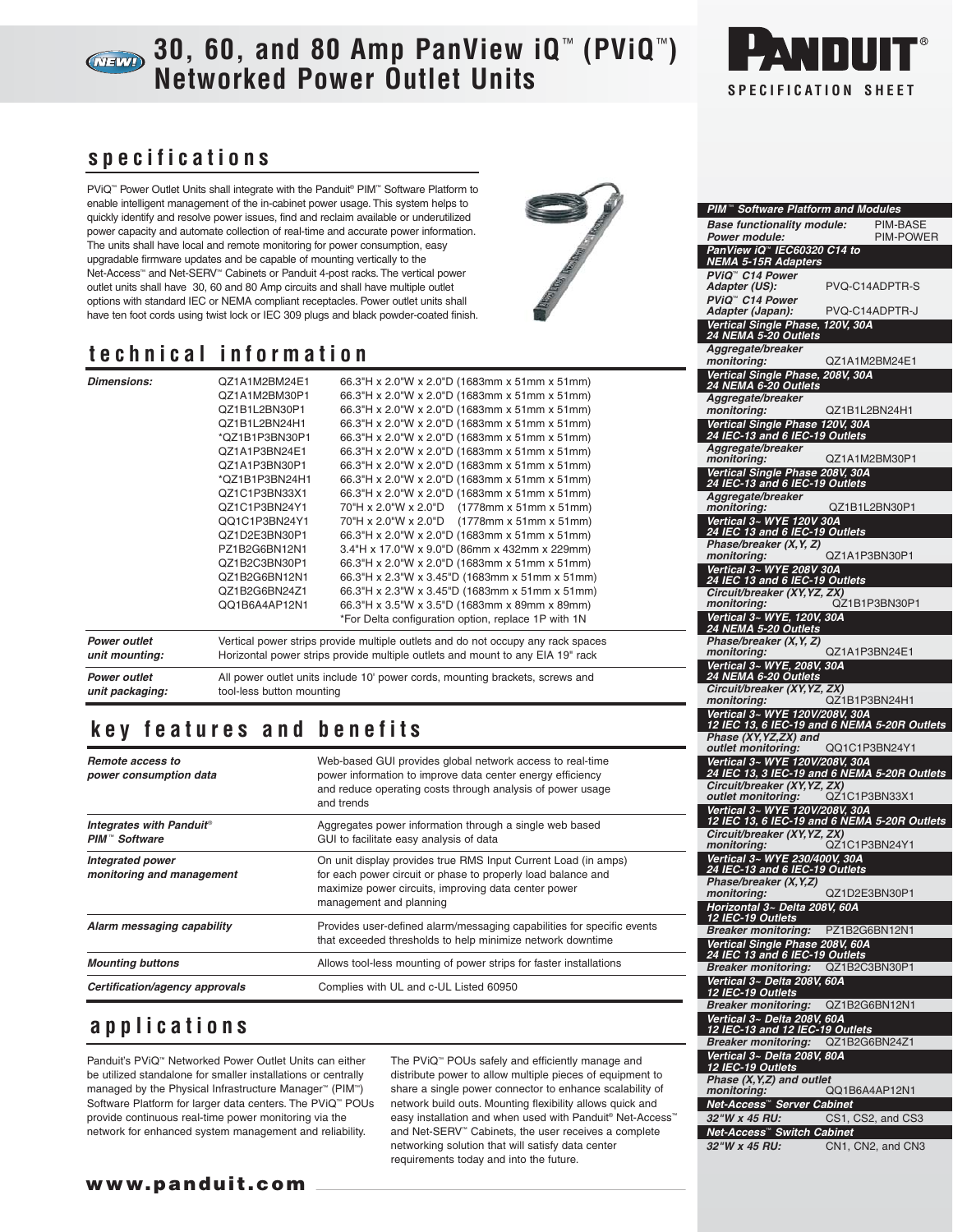# **30, 60, and 80 Amp PanView iQ** ™ **(PViQ** ™**) Networked Power Outlet Units SPECIFICATION SHEET**



**PIM** ™ **Software Platform and Modules**

### **specifications**

PViQ<sup>™</sup> Power Outlet Units shall integrate with the Panduit® PIM<sup>™</sup> Software Platform to enable intelligent management of the in-cabinet power usage. This system helps to quickly identify and resolve power issues, find and reclaim available or underutilized power capacity and automate collection of real-time and accurate power information. The units shall have local and remote monitoring for power consumption, easy upgradable firmware updates and be capable of mounting vertically to the Net-Access™ and Net-SERV™ Cabinets or Panduit 4-post racks. The vertical power outlet units shall have 30, 60 and 80 Amp circuits and shall have multiple outlet options with standard IEC or NEMA compliant receptacles. Power outlet units shall have ten foot cords using twist lock or IEC 309 plugs and black powder-coated finish.



# **technical information**

| <b>Dimensions:</b>  | QZ1A1M2BM24E1<br>QZ1A1M2BM30P1<br>QZ1B1L2BN30P1<br>QZ1B1L2BN24H1<br>*QZ1B1P3BN30P1<br>QZ1A1P3BN24E1<br>QZ1A1P3BN30P1<br>*QZ1B1P3BN24H1<br>QZ1C1P3BN33X1<br>QZ1C1P3BN24Y1<br>QQ1C1P3BN24Y1<br>QZ1D2E3BN30P1<br>PZ1B2G6BN12N1<br>QZ1B2C3BN30P1<br>QZ1B2G6BN12N1<br>QZ1B2G6BN24Z1<br>QQ1B6A4AP12N1 | 66.3"H x 2.0"W x 2.0"D (1683mm x 51mm x 51mm)<br>66.3"H x 2.0"W x 2.0"D (1683mm x 51mm x 51mm)<br>66.3"H x 2.0"W x 2.0"D (1683mm x 51mm x 51mm)<br>66.3"H x 2.0"W x 2.0"D (1683mm x 51mm x 51mm)<br>66.3"H x 2.0"W x 2.0"D (1683mm x 51mm x 51mm)<br>66.3"H x 2.0"W x 2.0"D (1683mm x 51mm x 51mm)<br>66.3"H x 2.0"W x 2.0"D (1683mm x 51mm x 51mm)<br>66.3"H x 2.0"W x 2.0"D (1683mm x 51mm x 51mm)<br>66.3"H x 2.0"W x 2.0"D (1683mm x 51mm x 51mm)<br>70"H x 2.0"W x 2.0"D (1778mm x 51mm x 51mm)<br>70"H x 2.0"W x 2.0"D (1778mm x 51mm x 51mm)<br>66.3"H x 2.0"W x 2.0"D (1683mm x 51mm x 51mm)<br>3.4"H x 17.0"W x 9.0"D (86mm x 432mm x 229mm)<br>66.3"H x 2.0"W x 2.0"D (1683mm x 51mm x 51mm)<br>66.3"H x 2.3"W x 3.45"D (1683mm x 51mm x 51mm)<br>66.3"H x 2.3"W x 3.45"D (1683mm x 51mm x 51mm)<br>66.3"H x 3.5"W x 3.5"D (1683mm x 89mm x 89mm) |  |
|---------------------|-------------------------------------------------------------------------------------------------------------------------------------------------------------------------------------------------------------------------------------------------------------------------------------------------|-------------------------------------------------------------------------------------------------------------------------------------------------------------------------------------------------------------------------------------------------------------------------------------------------------------------------------------------------------------------------------------------------------------------------------------------------------------------------------------------------------------------------------------------------------------------------------------------------------------------------------------------------------------------------------------------------------------------------------------------------------------------------------------------------------------------------------------------------------------|--|
|                     |                                                                                                                                                                                                                                                                                                 | *For Delta configuration option, replace 1P with 1N                                                                                                                                                                                                                                                                                                                                                                                                                                                                                                                                                                                                                                                                                                                                                                                                         |  |
| <b>Power outlet</b> | Vertical power strips provide multiple outlets and do not occupy any rack spaces                                                                                                                                                                                                                |                                                                                                                                                                                                                                                                                                                                                                                                                                                                                                                                                                                                                                                                                                                                                                                                                                                             |  |
| unit mounting:      | Horizontal power strips provide multiple outlets and mount to any EIA 19" rack                                                                                                                                                                                                                  |                                                                                                                                                                                                                                                                                                                                                                                                                                                                                                                                                                                                                                                                                                                                                                                                                                                             |  |
| <b>Power outlet</b> | All power outlet units include 10' power cords, mounting brackets, screws and                                                                                                                                                                                                                   |                                                                                                                                                                                                                                                                                                                                                                                                                                                                                                                                                                                                                                                                                                                                                                                                                                                             |  |
| unit packaging:     | tool-less button mounting                                                                                                                                                                                                                                                                       |                                                                                                                                                                                                                                                                                                                                                                                                                                                                                                                                                                                                                                                                                                                                                                                                                                                             |  |

## **key features and benefits**

| Remote access to<br>power consumption data            | Web-based GUI provides global network access to real-time<br>power information to improve data center energy efficiency<br>and reduce operating costs through analysis of power usage<br>and trends               |  |
|-------------------------------------------------------|-------------------------------------------------------------------------------------------------------------------------------------------------------------------------------------------------------------------|--|
| Integrates with Panduit®<br>PIM <sup>™</sup> Software | Aggregates power information through a single web based<br>GUI to facilitate easy analysis of data                                                                                                                |  |
| <b>Integrated power</b><br>monitoring and management  | On unit display provides true RMS Input Current Load (in amps)<br>for each power circuit or phase to properly load balance and<br>maximize power circuits, improving data center power<br>management and planning |  |
| Alarm messaging capability                            | Provides user-defined alarm/messaging capabilities for specific events<br>that exceeded thresholds to help minimize network downtime                                                                              |  |
| <b>Mounting buttons</b>                               | Allows tool-less mounting of power strips for faster installations                                                                                                                                                |  |
| Certification/agency approvals                        | Complies with UL and c-UL Listed 60950                                                                                                                                                                            |  |

## **applications**

Panduit's PViQ™ Networked Power Outlet Units can either be utilized standalone for smaller installations or centrally managed by the Physical Infrastructure Manager™ (PIM™) Software Platform for larger data centers. The PViQ™ POUs provide continuous real-time power monitoring via the network for enhanced system management and reliability.

The PViQ™ POUs safely and efficiently manage and distribute power to allow multiple pieces of equipment to share a single power connector to enhance scalability of network build outs. Mounting flexibility allows quick and easy installation and when used with Panduit® Net-Access™ and Net-SERV™ Cabinets, the user receives a complete networking solution that will satisfy data center requirements today and into the future.

| <b>Base functionality module:</b>                                                   | PIM-BASE          |
|-------------------------------------------------------------------------------------|-------------------|
| Power module:<br>PanView iQ™ IEC60320 C14 to                                        | PIM-POWER         |
| <b>NEMA 5-15R Adapters</b><br>PViQ <sup>™</sup> C14 Power                           |                   |
| Adapter (US):                                                                       | PVQ-C14ADPTR-S    |
| PViQ <sup>™</sup> C14 Power<br>Adapter (Japan):                                     | PVQ-C14ADPTR-J    |
| Vertical Single Phase, 120V, 30A<br>24 NEMA 5-20 Outlets                            |                   |
| Aggregate/breaker                                                                   |                   |
| monitoring:<br>Vertical Single Phase, 208V, 30A                                     | QZ1A1M2BM24E1     |
| 24 NEMA 6-20 Outlets<br>Aggregate/breaker                                           |                   |
| monitoring:                                                                         | QZ1B1L2BN24H1     |
| Vertical Single Phase 120V, 30A<br>24 IEC-13 and 6 IEC-19 Outlets                   |                   |
| Aggregate/breaker<br>monitoring:                                                    | QZ1A1M2BM30P1     |
| Vertical Single Phase 208V, 30A<br>24 IEC-13 and 6 IEC-19 Outlets                   |                   |
| Aggregate/breaker                                                                   |                   |
| monitoring:<br>Vertical 3~ WYE 120V 30A                                             | QZ1B1L2BN30P1     |
| 24 IEC 13 and 6 IEC-19 Outlets<br>Phase/breaker (X, Y, Z)                           |                   |
| monitoring:                                                                         | QZ1A1P3BN30P1     |
| Vertical 3~ WYE 208V 30A<br>24 IEC 13 and 6 IEC-19 Outlets                          |                   |
| Circuit/breaker (XY, YZ, ZX)<br>monitoring:                                         | QZ1B1P3BN30P1     |
| Vertical 3~ WYE, 120V, 30A<br>24 NEMA 5-20 Outlets                                  |                   |
| Phase/breaker (X, Y, Z)                                                             |                   |
| monitoring:<br>Vertical 3~ WYE, 208V, 30A                                           | QZ1A1P3BN24E1     |
| 24 NEMA 6-20 Outlets<br>Circuit/breaker (XY, YZ, ZX)                                |                   |
| monitoring:                                                                         | QZ1B1P3BN24H1     |
| Vertical 3~ WYE 120V/208V, 30A<br>12 IEC 13, 6 IEC-19 and 6 NEMA 5-20R Outlets      |                   |
| Phase (XY, YZ, ZX) and<br>outlet monitoring:                                        | QQ1C1P3BN24Y1     |
| Vertical 3~ WYE 120V/208V, 30A<br>24 IEC 13, 3 IEC-19 and 6 NEMA 5-20R Outlets      |                   |
| Particular Library<br>Circuit/breaker (XY, YZ, ZX)<br>And monitoring: QZ1C1P3BN33X1 |                   |
| Vertical 3~ WYE 120V/208V, 30A                                                      |                   |
| 12 IEC 13, 6 IEC-19 and 6 NEMA 5-20R Outlets<br>Circuit/breaker (XY, YZ, ZX)        |                   |
| monitoring:<br>Vertical 3~ WYE 230/400V, 30A                                        | QZ1C1P3BN24Y1     |
| 24 IEC-13 and 6 IEC-19 Outlets                                                      |                   |
| Phase/breaker (X, Y, Z)<br>monitoring:                                              | QZ1D2E3BN30P1     |
| Horizontal 3~ Delta 208V, 60A<br>12 IEC-19 Outlets                                  |                   |
| <b>Breaker monitoring:</b>                                                          | PZ1B2G6BN12N1     |
| Vertical Single Phase 208V, 60A<br>24 IEC 13 and 6 IEC-19 Outlets                   |                   |
| <b>Breaker monitoring:</b><br>Vertical 3~ Delta 208V, 60A                           | QZ1B2C3BN30P1     |
| 12 IEC-19 Outlets                                                                   |                   |
| <b>Breaker monitoring:</b><br>Vertical 3~ Delta 208V, 60A                           | QZ1B2G6BN12N1     |
| 12 IEC-13 and 12 IEC-19 Outlets<br><b>Breaker monitoring:</b>                       | QZ1B2G6BN24Z1     |
| Vertical 3~ Delta 208V, 80A                                                         |                   |
| 12 IEC-19 Outlets<br>Phase (X, Y, Z) and outlet                                     |                   |
| monitoring:<br>Net-Access™ Server Cabinet                                           | QQ1B6A4AP12N1     |
| 32"W x 45 RU:                                                                       | CS1, CS2, and CS3 |
| Net-Access™ Switch Cabinet<br>32"W x 45 RU:                                         | CN1, CN2, and CN3 |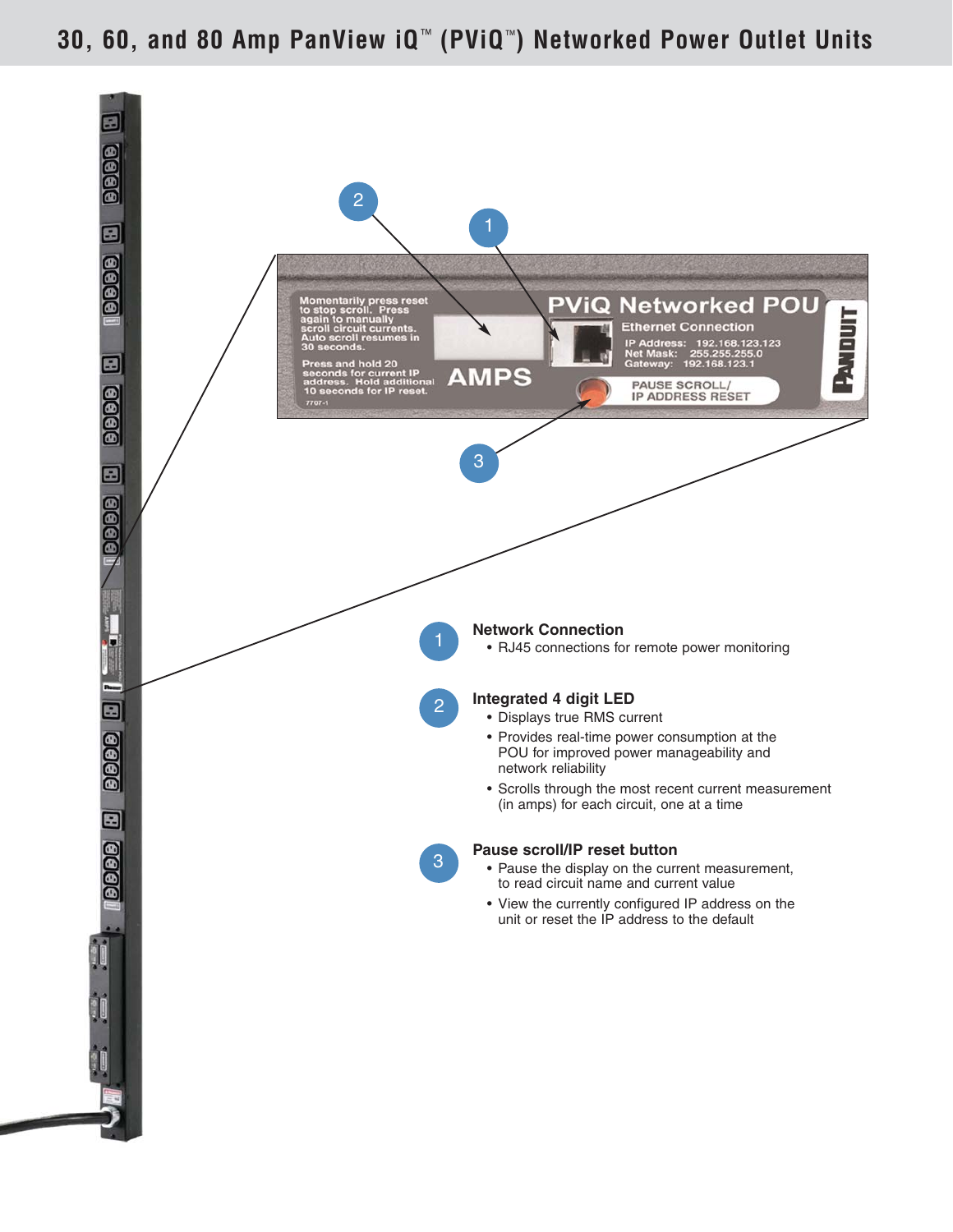# **30, 60, and 80 Amp PanView iQ** ™ **(PViQ** ™**) Networked Power Outlet Units**